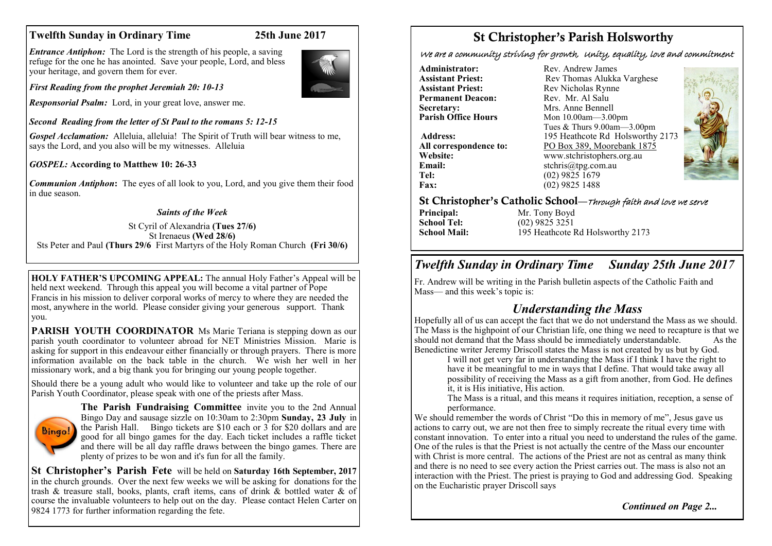## **Twelfth Sunday in Ordinary Time 25th June 2017**

*Entrance Antiphon:* The Lord is the strength of his people, a saving refuge for the one he has anointed. Save your people, Lord, and bless your heritage, and govern them for ever.

*First Reading from the prophet Jeremiah 20: 10-13*

*Responsorial Psalm:* Lord, in your great love, answer me.

*Second Reading from the letter of St Paul to the romans 5: 12-15*

*Gospel Acclamation:* Alleluia, alleluia! The Spirit of Truth will bear witness to me, says the Lord, and you also will be my witnesses. Alleluia

*GOSPEL:* **According to Matthew 10: 26-33**

*Communion Antiphon***:** The eyes of all look to you, Lord, and you give them their food in due season.

## *Saints of the Week*

St Cyril of Alexandria **(Tues 27/6)**  St Irenaeus **(Wed 28/6)** Sts Peter and Paul **(Thurs 29/6** First Martyrs of the Holy Roman Church **(Fri 30/6)**

**HOLY FATHER'S UPCOMING APPEAL:** The annual Holy Father's Appeal will be held next weekend. Through this appeal you will become a vital partner of Pope Francis in his mission to deliver corporal works of mercy to where they are needed the most, anywhere in the world. Please consider giving your generous support. Thank you.

**PARISH YOUTH COORDINATOR** Ms Marie Teriana is stepping down as our parish youth coordinator to volunteer abroad for NET Ministries Mission. Marie is asking for support in this endeavour either financially or through prayers. There is more information available on the back table in the church. We wish her well in her missionary work, and a big thank you for bringing our young people together.

Should there be a young adult who would like to volunteer and take up the role of our Parish Youth Coordinator, please speak with one of the priests after Mass.



**The Parish Fundraising Committee** invite you to the 2nd Annual Bingo Day and sausage sizzle on 10:30am to 2:30pm **Sunday, 23 July** in the Parish Hall. Bingo tickets are \$10 each or 3 for \$20 dollars and are good for all bingo games for the day. Each ticket includes a raffle ticket and there will be all day raffle draws between the bingo games. There are plenty of prizes to be won and it's fun for all the family.

**St Christopher's Parish Fete** will be held on **Saturday 16th September, 2017**  in the church grounds. Over the next few weeks we will be asking for donations for the trash & treasure stall, books, plants, craft items, cans of drink & bottled water & of course the invaluable volunteers to help out on the day. Please contact Helen Carter on 9824 1773 for further information regarding the fete.

# St Christopher's Parish Holsworthy

We are a community striving for growth, Unity, equality, love and commitment

**Administrator:** Rev. Andrew James<br> **Assistant Priest:** Rev. Thomas Alukka **Permanent Deacon:**<br>Secretary: **Secretary:** Mrs. Anne Bennell<br> **Parish Office Hours** Mon 10.00am - 3.00

**Email:** stchris@tpg.com.au<br> **Tel:** (02) 9825 1679 **Fax:** (02) 9825 1488

**Assistant Priest: Rev Thomas Alukka Varghese**<br>**Assistant Priest: Rev Nicholas Rynne** Rev Nicholas Rynne<br>Rev Mr Al Salu **Parish Office Hours** Mon 10.00am—3.00pm Tues & Thurs 9.00am—3.00pm Address: 195 Heathcote Rd Holsworthy 2173 **All correspondence to:** PO Box 389, Moorebank 1875<br>Website: www.stchristophers.org.au **Website:** www.stchristophers.org.au<br> **Email:** stchris@tng.com au **Tel:** (02) 9825 1679



## St Christopher's Catholic School—Through faith and love we serve

**Principal:** Mr. Tony Boyd<br> **School Tel:** (02) 9825 3251 **School Tel:** (02) 9825 3251<br>**School Mail:** 195 Heathcote I

195 Heathcote Rd Holsworthy 2173

# *Twelfth Sunday in Ordinary Time Sunday 25th June 2017*

Fr. Andrew will be writing in the Parish bulletin aspects of the Catholic Faith and Mass— and this week's topic is:

## *Understanding the Mass*

Hopefully all of us can accept the fact that we do not understand the Mass as we should. The Mass is the highpoint of our Christian life, one thing we need to recapture is that we should not demand that the Mass should be immediately understandable. As the Benedictine writer Jeremy Driscoll states the Mass is not created by us but by God.

I will not get very far in understanding the Mass if I think I have the right to have it be meaningful to me in ways that I define. That would take away all possibility of receiving the Mass as a gift from another, from God. He defines it, it is His initiative, His action.

The Mass is a ritual, and this means it requires initiation, reception, a sense of performance.

We should remember the words of Christ "Do this in memory of me", Jesus gave us actions to carry out, we are not then free to simply recreate the ritual every time with constant innovation. To enter into a ritual you need to understand the rules of the game. One of the rules is that the Priest is not actually the centre of the Mass our encounter with Christ is more central. The actions of the Priest are not as central as many think and there is no need to see every action the Priest carries out. The mass is also not an interaction with the Priest. The priest is praying to God and addressing God. Speaking on the Eucharistic prayer Driscoll says

*Continued on Page 2...*